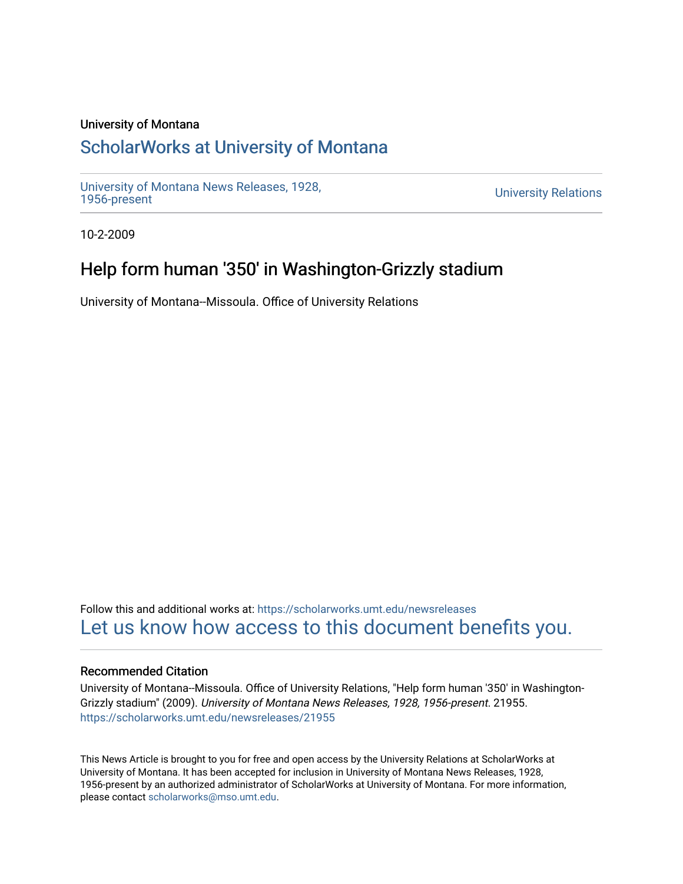### University of Montana

# [ScholarWorks at University of Montana](https://scholarworks.umt.edu/)

[University of Montana News Releases, 1928,](https://scholarworks.umt.edu/newsreleases) 

**University Relations** 

10-2-2009

# Help form human '350' in Washington-Grizzly stadium

University of Montana--Missoula. Office of University Relations

Follow this and additional works at: [https://scholarworks.umt.edu/newsreleases](https://scholarworks.umt.edu/newsreleases?utm_source=scholarworks.umt.edu%2Fnewsreleases%2F21955&utm_medium=PDF&utm_campaign=PDFCoverPages) [Let us know how access to this document benefits you.](https://goo.gl/forms/s2rGfXOLzz71qgsB2) 

### Recommended Citation

University of Montana--Missoula. Office of University Relations, "Help form human '350' in Washington-Grizzly stadium" (2009). University of Montana News Releases, 1928, 1956-present. 21955. [https://scholarworks.umt.edu/newsreleases/21955](https://scholarworks.umt.edu/newsreleases/21955?utm_source=scholarworks.umt.edu%2Fnewsreleases%2F21955&utm_medium=PDF&utm_campaign=PDFCoverPages) 

This News Article is brought to you for free and open access by the University Relations at ScholarWorks at University of Montana. It has been accepted for inclusion in University of Montana News Releases, 1928, 1956-present by an authorized administrator of ScholarWorks at University of Montana. For more information, please contact [scholarworks@mso.umt.edu.](mailto:scholarworks@mso.umt.edu)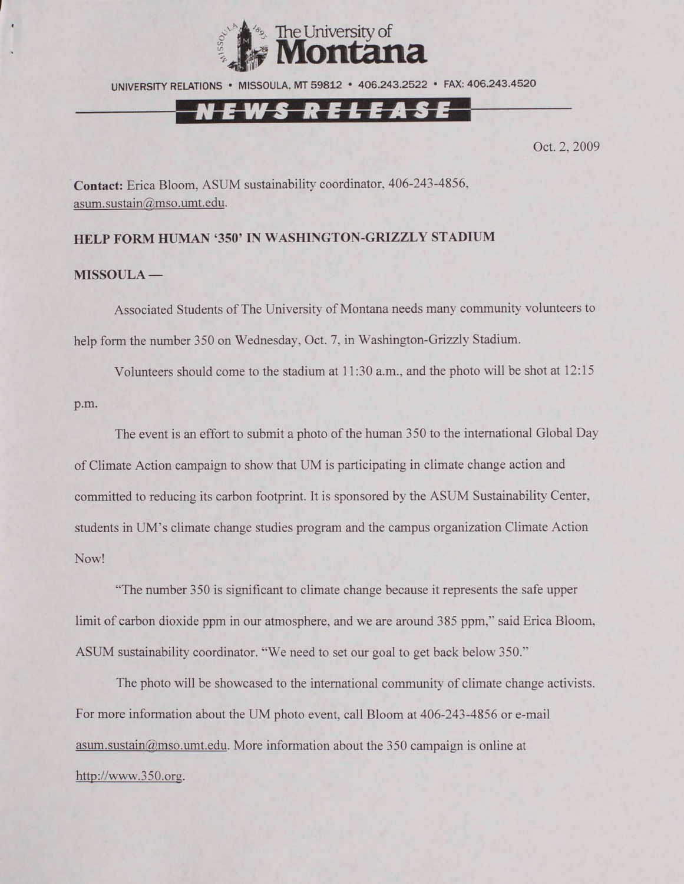

UNIVERSITY RELATIONS • MISSOULA. MT 59812 • 406.243.2522 • FAX: 406.243.4520

## N E W S R E L E A S E

Oct. 2, 2009

**Contact:** Erica Bloom. ASUM sustainability coordinator, 406-243-4856, [asum.sustain@mso.umt.edu](mailto:asum.sustain@mso.umt.edu).

#### **HELP FORM HUMAN '350' IN WASHINGTON-GRIZZLY STADIUM**

#### **MISSOULA —**

Associated Students of The University of Montana needs many community volunteers to help form the number 350 on Wednesday, Oct. 7. in Washington-Grizzly Stadium.

Volunteers should come to the stadium at 11:30 a.m., and the photo will be shot at 12:15 p.m.

The event is an effort to submit a photo of the human 350 to the international Global Day of Climate Action campaign to show that UM is participating in climate change action and committed to reducing its carbon footprint. It is sponsored by the ASUM Sustainability Center, students in UM's climate change studies program and the campus organization Climate Action Now!

"The number 350 is significant to climate change because it represents the safe upper limit of carbon dioxide ppm in our atmosphere, and we are around 385 ppm,'' said Erica Bloom. ASUM sustainability coordinator. "We need to set our goal to get back below 350."

The photo will be showcased to the international community of climate change activists. For more information about the UM photo event, call Bloom at 406-243-4856 or e-mail [asum.sustain@mso.umt.edu](mailto:asum.sustain@mso.umt.edu). More information about the 350 campaign is online at <http://www.350.org>.